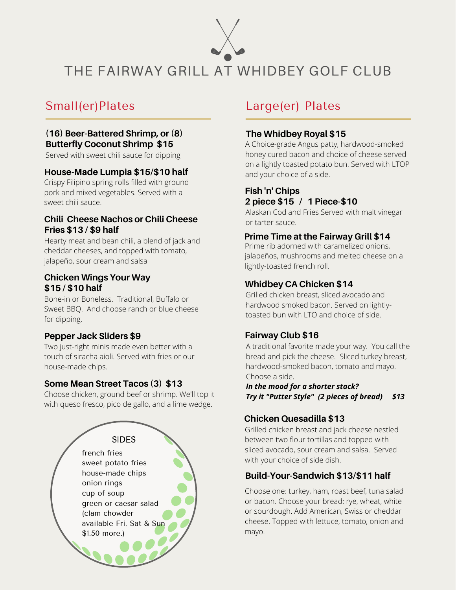

THE FAIRWAY GRILL AT WHIDBEY GOLF CLUB

# Small(er)Plates

#### **(16) Beer-Battered Shrimp, or (8) Butterfly Coconut Shrimp \$15**

Served with sweet chili sauce for dipping

#### **House-Made Lumpia \$15/\$10 half**

Crispy Filipino spring rolls filled with ground pork and mixed vegetables. Served with a sweet chili sauce.

#### **Chili Cheese Nachos or Chili Cheese Fries \$13 / \$9 half**

Hearty meat and bean chili, a blend of jack and cheddar cheeses, and topped with tomato, jalapeño, sour cream and salsa

#### **Chicken Wings Your Way \$15 / \$10 half**

Bone-in or Boneless. Traditional, Buffalo or Sweet BBQ. And choose ranch or blue cheese for dipping.

## **Pepper Jack Sliders \$9**

Two just-right minis made even better with a touch of siracha aioli. Served with fries or our house-made chips.

#### **Some Mean Street Tacos (3) \$13**

Choose chicken, ground beef or shrimp. We'll top it with queso fresco, pico de gallo, and a lime wedge.



# Large(er) Plates

#### **The Whidbey Royal \$15**

A Choice-grade Angus patty, hardwood-smoked honey cured bacon and choice of cheese served on a lightly toasted potato bun. Served with LTOP and your choice of a side.

# **Fish 'n' Chips 2 piece \$15 / 1 Piece-\$10**

Alaskan Cod and Fries Served with malt vinegar or tarter sauce.

#### **Prime Time at the Fairway Grill \$14**

Prime rib adorned with caramelized onions, jalapeños, mushrooms and melted cheese on a lightly-toasted french roll.

# **Whidbey CA Chicken \$14**

Grilled chicken breast, sliced avocado and hardwood smoked bacon. Served on lightlytoasted bun with LTO and choice of side.

## **Fairway Club \$16**

A traditional favorite made your way. You call the bread and pick the cheese. Sliced turkey breast, hardwood-smoked bacon, tomato and mayo. Choose a side.

*In the mood for a shorter stack? Try it "Putter Style" (2 pieces of bread) \$13*

# **Chicken Quesadilla \$13**

Grilled chicken breast and jack cheese nestled between two flour tortillas and topped with sliced avocado, sour cream and salsa. Served with your choice of side dish.

## **Build-Your-Sandwich \$13/\$11 half**

Choose one: turkey, ham, roast beef, tuna salad or bacon. Choose your bread: rye, wheat, white or sourdough. Add American, Swiss or cheddar cheese. Topped with lettuce, tomato, onion and mayo.